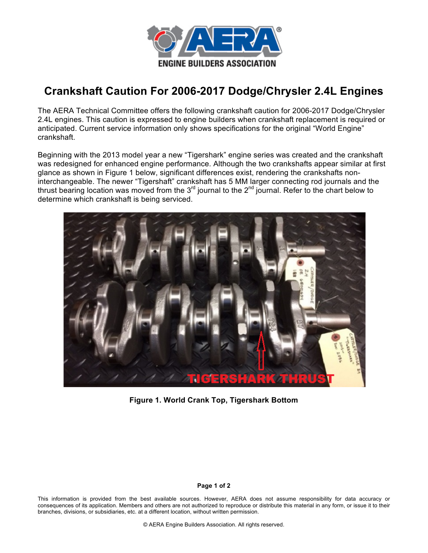

# **Crankshaft Caution For 2006-2017 Dodge/Chrysler 2.4L Engines**

The AERA Technical Committee offers the following crankshaft caution for 2006-2017 Dodge/Chrysler 2.4L engines. This caution is expressed to engine builders when crankshaft replacement is required or anticipated. Current service information only shows specifications for the original "World Engine" crankshaft.

Beginning with the 2013 model year a new "Tigershark" engine series was created and the crankshaft was redesigned for enhanced engine performance. Although the two crankshafts appear similar at first glance as shown in Figure 1 below, significant differences exist, rendering the crankshafts noninterchangeable. The newer "Tigershaft" crankshaft has 5 MM larger connecting rod journals and the thrust bearing location was moved from the  $3<sup>rd</sup>$  journal to the  $2<sup>nd</sup>$  journal. Refer to the chart below to determine which crankshaft is being serviced.



**Figure 1. World Crank Top, Tigershark Bottom** 

#### **Page 1 of 2**

This information is provided from the best available sources. However, AERA does not assume responsibility for data accuracy or consequences of its application. Members and others are not authorized to reproduce or distribute this material in any form, or issue it to their branches, divisions, or subsidiaries, etc. at a different location, without written permission.

© AERA Engine Builders Association. All rights reserved.